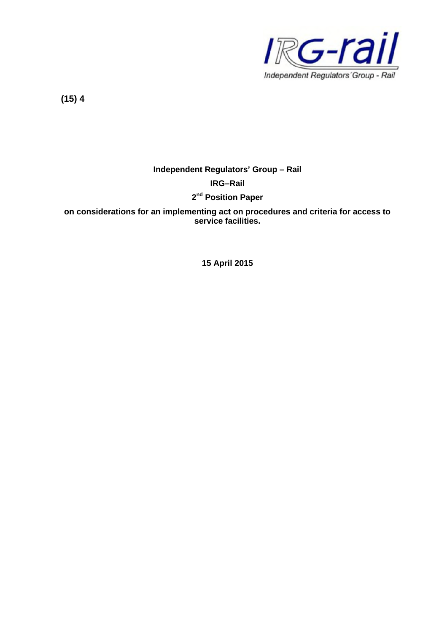

**(15) 4**

# **Independent Regulators' Group – Rail**

### **IRG–Rail**

## **2 nd Position Paper**

**on considerations for an implementing act on procedures and criteria for access to service facilities.**

**15 April 2015**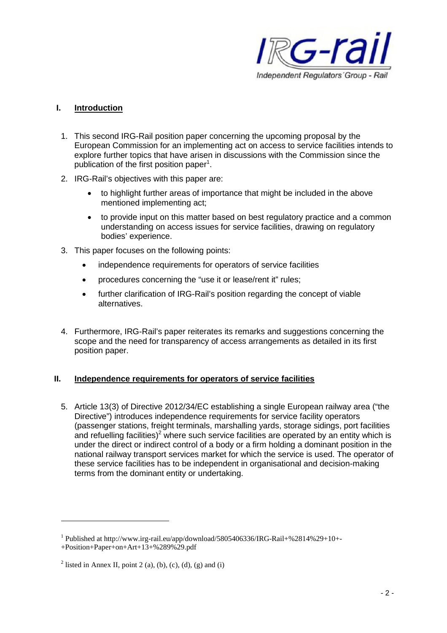

## **I. Introduction**

- 1. This second IRG-Rail position paper concerning the upcoming proposal by the European Commission for an implementing act on access to service facilities intends to explore further topics that have arisen in discussions with the Commission since the publication of the first position paper<sup>1</sup>.
- 2. IRG-Rail's objectives with this paper are:
	- to highlight further areas of importance that might be included in the above mentioned implementing act;
	- to provide input on this matter based on best regulatory practice and a common understanding on access issues for service facilities, drawing on regulatory bodies' experience.
- 3. This paper focuses on the following points:
	- independence requirements for operators of service facilities
	- procedures concerning the "use it or lease/rent it" rules;
	- further clarification of IRG-Rail's position regarding the concept of viable alternatives.
- 4. Furthermore, IRG-Rail's paper reiterates its remarks and suggestions concerning the scope and the need for transparency of access arrangements as detailed in its first position paper.

# **II. Independence requirements for operators of service facilities**

5. Article 13(3) of Directive 2012/34/EC establishing a single European railway area ("the Directive") introduces independence requirements for service facility operators (passenger stations, freight terminals, marshalling yards, storage sidings, port facilities and refuelling facilities)<sup>2</sup> where such service facilities are operated by an entity which is under the direct or indirect control of a body or a firm holding a dominant position in the national railway transport services market for which the service is used. The operator of these service facilities has to be independent in organisational and decision-making terms from the dominant entity or undertaking.

<sup>&</sup>lt;sup>1</sup> Published at http://www.irg-rail.eu/app/download/5805406336/IRG-Rail+%2814%29+10+-+Position+Paper+on+Art+13+%289%29.pdf

<sup>&</sup>lt;sup>2</sup> listed in Annex II, point 2 (a), (b), (c), (d), (g) and (i)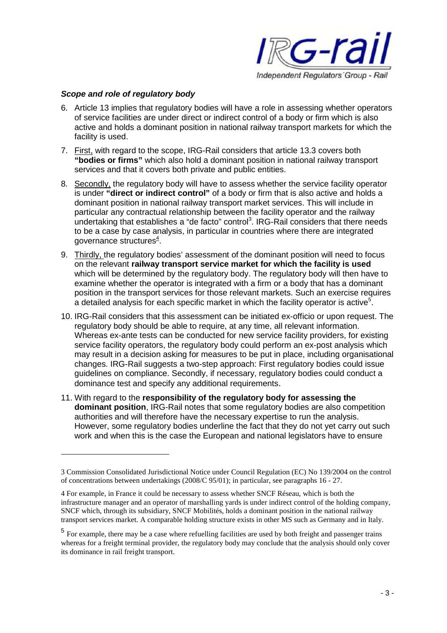

#### *Scope and role of regulatory body*

- 6. Article 13 implies that regulatory bodies will have a role in assessing whether operators of service facilities are under direct or indirect control of a body or firm which is also active and holds a dominant position in national railway transport markets for which the facility is used.
- 7. First, with regard to the scope, IRG-Rail considers that article 13.3 covers both **"bodies or firms"** which also hold a dominant position in national railway transport services and that it covers both private and public entities.
- 8. Secondly, the regulatory body will have to assess whether the service facility operator is under **"direct or indirect control"** of a body or firm that is also active and holds a dominant position in national railway transport market services. This will include in particular any contractual relationship between the facility operator and the railway undertaking that establishes a "de facto" control<sup>3</sup>. IRG-Rail considers that there needs to be a case by case analysis, in particular in countries where there are integrated governance structures $4$ .
- 9. Thirdly, the regulatory bodies' assessment of the dominant position will need to focus on the relevant **railway transport service market for which the facility is used** which will be determined by the regulatory body. The regulatory body will then have to examine whether the operator is integrated with a firm or a body that has a dominant position in the transport services for those relevant markets. Such an exercise requires a detailed analysis for each specific market in which the facility operator is active<sup>5</sup>.
- 10. IRG-Rail considers that this assessment can be initiated ex-officio or upon request. The regulatory body should be able to require, at any time, all relevant information. Whereas ex-ante tests can be conducted for new service facility providers, for existing service facility operators, the regulatory body could perform an ex-post analysis which may result in a decision asking for measures to be put in place, including organisational changes. IRG-Rail suggests a two-step approach: First regulatory bodies could issue guidelines on compliance. Secondly, if necessary, regulatory bodies could conduct a dominance test and specify any additional requirements.
- 11. With regard to the **responsibility of the regulatory body for assessing the dominant position**, IRG-Rail notes that some regulatory bodies are also competition authorities and will therefore have the necessary expertise to run the analysis. However, some regulatory bodies underline the fact that they do not yet carry out such work and when this is the case the European and national legislators have to ensure

<sup>3</sup> Commission Consolidated Jurisdictional Notice under Council Regulation (EC) No 139/2004 on the control of concentrations between undertakings (2008/C 95/01); in particular, see paragraphs 16 - 27.

<sup>4</sup> For example, in France it could be necessary to assess whether SNCF Réseau, which is both the infrastructure manager and an operator of marshalling yards is under indirect control of the holding company, SNCF which, through its subsidiary, SNCF Mobilités, holds a dominant position in the national railway transport services market. A comparable holding structure exists in other MS such as Germany and in Italy.

<sup>&</sup>lt;sup>5</sup> For example, there may be a case where refuelling facilities are used by both freight and passenger trains whereas for a freight terminal provider, the regulatory body may conclude that the analysis should only cover its dominance in rail freight transport.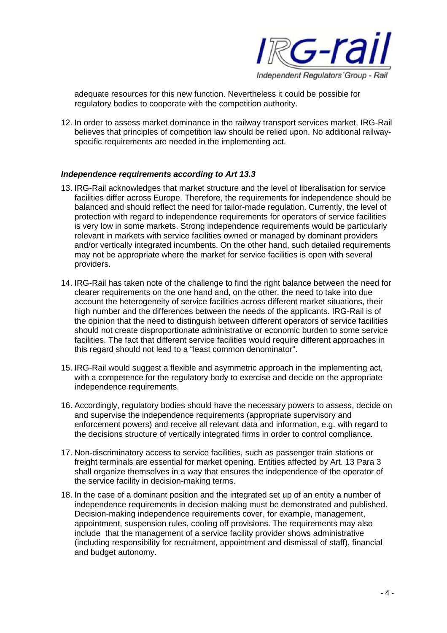

adequate resources for this new function. Nevertheless it could be possible for regulatory bodies to cooperate with the competition authority.

12. In order to assess market dominance in the railway transport services market, IRG-Rail believes that principles of competition law should be relied upon. No additional railwayspecific requirements are needed in the implementing act.

#### *Independence requirements according to Art 13.3*

- 13. IRG-Rail acknowledges that market structure and the level of liberalisation for service facilities differ across Europe. Therefore, the requirements for independence should be balanced and should reflect the need for tailor-made regulation. Currently, the level of protection with regard to independence requirements for operators of service facilities is very low in some markets. Strong independence requirements would be particularly relevant in markets with service facilities owned or managed by dominant providers and/or vertically integrated incumbents. On the other hand, such detailed requirements may not be appropriate where the market for service facilities is open with several providers.
- 14. IRG-Rail has taken note of the challenge to find the right balance between the need for clearer requirements on the one hand and, on the other, the need to take into due account the heterogeneity of service facilities across different market situations, their high number and the differences between the needs of the applicants. IRG-Rail is of the opinion that the need to distinguish between different operators of service facilities should not create disproportionate administrative or economic burden to some service facilities. The fact that different service facilities would require different approaches in this regard should not lead to a "least common denominator".
- 15. IRG-Rail would suggest a flexible and asymmetric approach in the implementing act, with a competence for the regulatory body to exercise and decide on the appropriate independence requirements.
- 16. Accordingly, regulatory bodies should have the necessary powers to assess, decide on and supervise the independence requirements (appropriate supervisory and enforcement powers) and receive all relevant data and information, e.g. with regard to the decisions structure of vertically integrated firms in order to control compliance.
- 17. Non-discriminatory access to service facilities, such as passenger train stations or freight terminals are essential for market opening. Entities affected by Art. 13 Para 3 shall organize themselves in a way that ensures the independence of the operator of the service facility in decision-making terms.
- 18. In the case of a dominant position and the integrated set up of an entity a number of independence requirements in decision making must be demonstrated and published. Decision-making independence requirements cover, for example, management, appointment, suspension rules, cooling off provisions. The requirements may also include that the management of a service facility provider shows administrative (including responsibility for recruitment, appointment and dismissal of staff), financial and budget autonomy.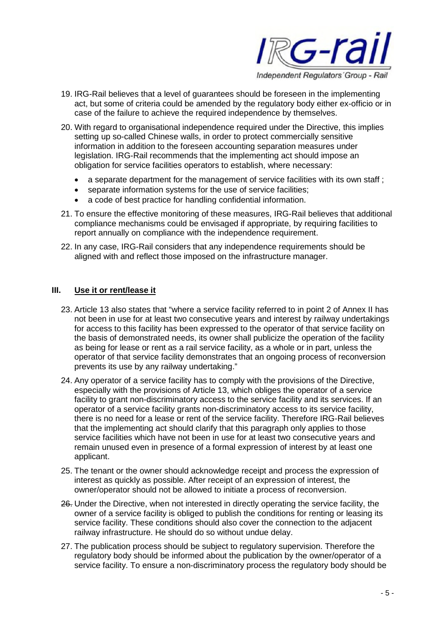

- 19. IRG-Rail believes that a level of guarantees should be foreseen in the implementing act, but some of criteria could be amended by the regulatory body either ex-officio or in case of the failure to achieve the required independence by themselves.
- 20. With regard to organisational independence required under the Directive, this implies setting up so-called Chinese walls, in order to protect commercially sensitive information in addition to the foreseen accounting separation measures under legislation. IRG-Rail recommends that the implementing act should impose an obligation for service facilities operators to establish, where necessary:
	- a separate department for the management of service facilities with its own staff ;
	- separate information systems for the use of service facilities;
	- a code of best practice for handling confidential information.
- 21. To ensure the effective monitoring of these measures, IRG-Rail believes that additional compliance mechanisms could be envisaged if appropriate, by requiring facilities to report annually on compliance with the independence requirement.
- 22. In any case, IRG-Rail considers that any independence requirements should be aligned with and reflect those imposed on the infrastructure manager.

#### **III. Use it or rent/lease it**

- 23. Article 13 also states that "where a service facility referred to in point 2 of Annex II has not been in use for at least two consecutive years and interest by railway undertakings for access to this facility has been expressed to the operator of that service facility on the basis of demonstrated needs, its owner shall publicize the operation of the facility as being for lease or rent as a rail service facility, as a whole or in part, unless the operator of that service facility demonstrates that an ongoing process of reconversion prevents its use by any railway undertaking."
- 24. Any operator of a service facility has to comply with the provisions of the Directive, especially with the provisions of Article 13, which obliges the operator of a service facility to grant non-discriminatory access to the service facility and its services. If an operator of a service facility grants non-discriminatory access to its service facility, there is no need for a lease or rent of the service facility. Therefore IRG-Rail believes that the implementing act should clarify that this paragraph only applies to those service facilities which have not been in use for at least two consecutive years and remain unused even in presence of a formal expression of interest by at least one applicant.
- 25. The tenant or the owner should acknowledge receipt and process the expression of interest as quickly as possible. After receipt of an expression of interest, the owner/operator should not be allowed to initiate a process of reconversion.
- 26. Under the Directive, when not interested in directly operating the service facility, the owner of a service facility is obliged to publish the conditions for renting or leasing its service facility. These conditions should also cover the connection to the adjacent railway infrastructure. He should do so without undue delay.
- 27. The publication process should be subject to regulatory supervision. Therefore the regulatory body should be informed about the publication by the owner/operator of a service facility. To ensure a non-discriminatory process the regulatory body should be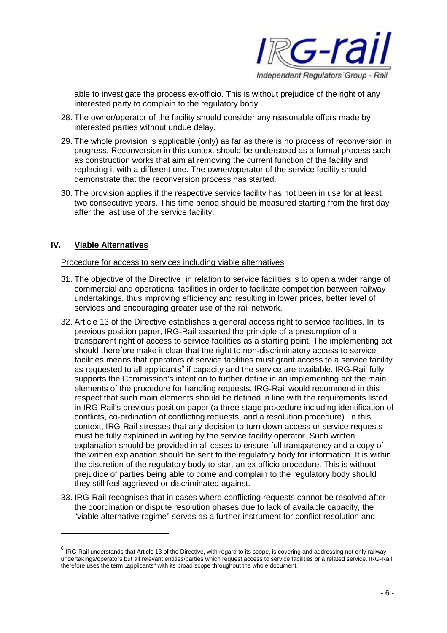

able to investigate the process ex-officio. This is without prejudice of the right of any interested party to complain to the regulatory body.

- 28. The owner/operator of the facility should consider any reasonable offers made by interested parties without undue delay.
- 29. The whole provision is applicable (only) as far as there is no process of reconversion in progress. Reconversion in this context should be understood as a formal process such as construction works that aim at removing the current function of the facility and replacing it with a different one. The owner/operator of the service facility should demonstrate that the reconversion process has started.
- 30. The provision applies if the respective service facility has not been in use for at least two consecutive years. This time period should be measured starting from the first day after the last use of the service facility.

### **IV. Viable Alternatives**

Procedure for access to services including viable alternatives

- 31. The objective of the Directive in relation to service facilities is to open a wider range of commercial and operational facilities in order to facilitate competition between railway undertakings, thus improving efficiency and resulting in lower prices, better level of services and encouraging greater use of the rail network.
- 32. Article 13 of the Directive establishes a general access right to service facilities. In its previous position paper, IRG-Rail asserted the principle of a presumption of a transparent right of access to service facilities as a starting point. The implementing act should therefore make it clear that the right to non-discriminatory access to service facilities means that operators of service facilities must grant access to a service facility as requested to all applicants<sup>6</sup> if capacity and the service are available. IRG-Rail fully supports the Commission's intention to further define in an implementing act the main elements of the procedure for handling requests. IRG-Rail would recommend in this respect that such main elements should be defined in line with the requirements listed in IRG-Rail's previous position paper (a three stage procedure including identification of conflicts, co-ordination of conflicting requests, and a resolution procedure). In this context, IRG-Rail stresses that any decision to turn down access or service requests must be fully explained in writing by the service facility operator. Such written explanation should be provided in all cases to ensure full transparency and a copy of the written explanation should be sent to the regulatory body for information. It is within the discretion of the regulatory body to start an ex officio procedure. This is without prejudice of parties being able to come and complain to the regulatory body should they still feel aggrieved or discriminated against.
- 33. IRG-Rail recognises that in cases where conflicting requests cannot be resolved after the coordination or dispute resolution phases due to lack of available capacity, the "viable alternative regime" serves as a further instrument for conflict resolution and

 $^6$  IRG-Rail understands that Article 13 of the Directive, with regard to its scope, is covering and addressing not only railway undertakings/operators but all relevant entities/parties which request access to service facilities or a related service. IRG-Rail therefore uses the term "applicants" with its broad scope throughout the whole document.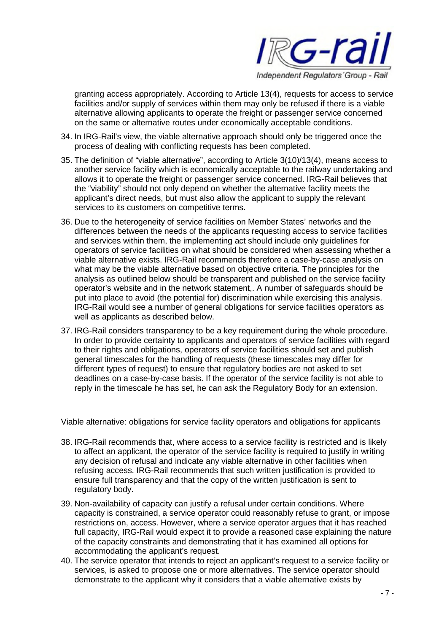

granting access appropriately. According to Article 13(4), requests for access to service facilities and/or supply of services within them may only be refused if there is a viable alternative allowing applicants to operate the freight or passenger service concerned on the same or alternative routes under economically acceptable conditions.

- 34. In IRG-Rail's view, the viable alternative approach should only be triggered once the process of dealing with conflicting requests has been completed.
- 35. The definition of "viable alternative", according to Article 3(10)/13(4), means access to another service facility which is economically acceptable to the railway undertaking and allows it to operate the freight or passenger service concerned. IRG-Rail believes that the "viability" should not only depend on whether the alternative facility meets the applicant's direct needs, but must also allow the applicant to supply the relevant services to its customers on competitive terms.
- 36. Due to the heterogeneity of service facilities on Member States' networks and the differences between the needs of the applicants requesting access to service facilities and services within them, the implementing act should include only guidelines for operators of service facilities on what should be considered when assessing whether a viable alternative exists. IRG-Rail recommends therefore a case-by-case analysis on what may be the viable alternative based on objective criteria. The principles for the analysis as outlined below should be transparent and published on the service facility operator's website and in the network statement,. A number of safeguards should be put into place to avoid (the potential for) discrimination while exercising this analysis. IRG-Rail would see a number of general obligations for service facilities operators as well as applicants as described below.
- 37. IRG-Rail considers transparency to be a key requirement during the whole procedure. In order to provide certainty to applicants and operators of service facilities with regard to their rights and obligations, operators of service facilities should set and publish general timescales for the handling of requests (these timescales may differ for different types of request) to ensure that regulatory bodies are not asked to set deadlines on a case-by-case basis. If the operator of the service facility is not able to reply in the timescale he has set, he can ask the Regulatory Body for an extension.

#### Viable alternative: obligations for service facility operators and obligations for applicants

- 38. IRG-Rail recommends that, where access to a service facility is restricted and is likely to affect an applicant, the operator of the service facility is required to justify in writing any decision of refusal and indicate any viable alternative in other facilities when refusing access. IRG-Rail recommends that such written justification is provided to ensure full transparency and that the copy of the written justification is sent to regulatory body.
- 39. Non-availability of capacity can justify a refusal under certain conditions. Where capacity is constrained, a service operator could reasonably refuse to grant, or impose restrictions on, access. However, where a service operator argues that it has reached full capacity, IRG-Rail would expect it to provide a reasoned case explaining the nature of the capacity constraints and demonstrating that it has examined all options for accommodating the applicant's request.
- 40. The service operator that intends to reject an applicant's request to a service facility or services, is asked to propose one or more alternatives. The service operator should demonstrate to the applicant why it considers that a viable alternative exists by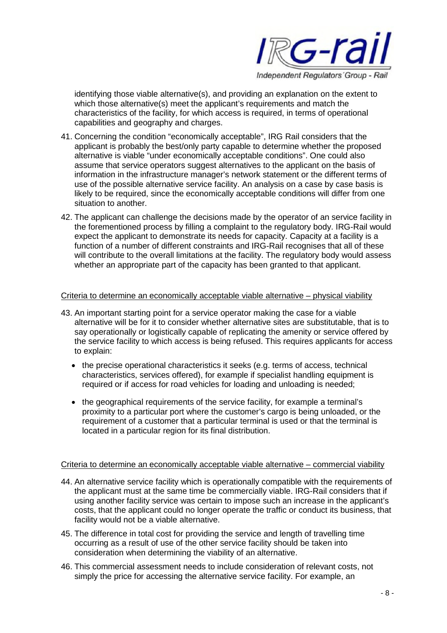

identifying those viable alternative(s), and providing an explanation on the extent to which those alternative(s) meet the applicant's requirements and match the characteristics of the facility, for which access is required, in terms of operational capabilities and geography and charges.

- 41. Concerning the condition "economically acceptable", IRG Rail considers that the applicant is probably the best/only party capable to determine whether the proposed alternative is viable "under economically acceptable conditions". One could also assume that service operators suggest alternatives to the applicant on the basis of information in the infrastructure manager's network statement or the different terms of use of the possible alternative service facility. An analysis on a case by case basis is likely to be required, since the economically acceptable conditions will differ from one situation to another.
- 42. The applicant can challenge the decisions made by the operator of an service facility in the forementioned process by filling a complaint to the regulatory body. IRG-Rail would expect the applicant to demonstrate its needs for capacity. Capacity at a facility is a function of a number of different constraints and IRG-Rail recognises that all of these will contribute to the overall limitations at the facility. The regulatory body would assess whether an appropriate part of the capacity has been granted to that applicant.

#### Criteria to determine an economically acceptable viable alternative – physical viability

- 43. An important starting point for a service operator making the case for a viable alternative will be for it to consider whether alternative sites are substitutable, that is to say operationally or logistically capable of replicating the amenity or service offered by the service facility to which access is being refused. This requires applicants for access to explain:
	- the precise operational characteristics it seeks (e.g. terms of access, technical characteristics, services offered), for example if specialist handling equipment is required or if access for road vehicles for loading and unloading is needed;
	- the geographical requirements of the service facility, for example a terminal's proximity to a particular port where the customer's cargo is being unloaded, or the requirement of a customer that a particular terminal is used or that the terminal is located in a particular region for its final distribution.

### Criteria to determine an economically acceptable viable alternative – commercial viability

- 44. An alternative service facility which is operationally compatible with the requirements of the applicant must at the same time be commercially viable. IRG-Rail considers that if using another facility service was certain to impose such an increase in the applicant's costs, that the applicant could no longer operate the traffic or conduct its business, that facility would not be a viable alternative.
- 45. The difference in total cost for providing the service and length of travelling time occurring as a result of use of the other service facility should be taken into consideration when determining the viability of an alternative.
- 46. This commercial assessment needs to include consideration of relevant costs, not simply the price for accessing the alternative service facility. For example, an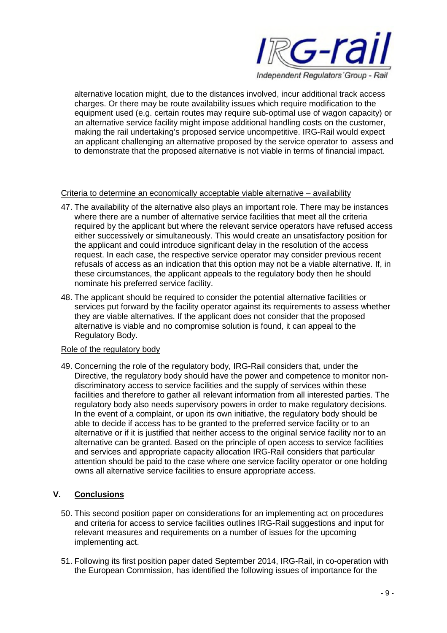

alternative location might, due to the distances involved, incur additional track access charges. Or there may be route availability issues which require modification to the equipment used (e.g. certain routes may require sub-optimal use of wagon capacity) or an alternative service facility might impose additional handling costs on the customer, making the rail undertaking's proposed service uncompetitive. IRG-Rail would expect an applicant challenging an alternative proposed by the service operator to assess and to demonstrate that the proposed alternative is not viable in terms of financial impact.

### Criteria to determine an economically acceptable viable alternative – availability

- 47. The availability of the alternative also plays an important role. There may be instances where there are a number of alternative service facilities that meet all the criteria required by the applicant but where the relevant service operators have refused access either successively or simultaneously. This would create an unsatisfactory position for the applicant and could introduce significant delay in the resolution of the access request. In each case, the respective service operator may consider previous recent refusals of access as an indication that this option may not be a viable alternative. If, in these circumstances, the applicant appeals to the regulatory body then he should nominate his preferred service facility.
- 48. The applicant should be required to consider the potential alternative facilities or services put forward by the facility operator against its requirements to assess whether they are viable alternatives. If the applicant does not consider that the proposed alternative is viable and no compromise solution is found, it can appeal to the Regulatory Body.

### Role of the regulatory body

49. Concerning the role of the regulatory body, IRG-Rail considers that, under the Directive, the regulatory body should have the power and competence to monitor nondiscriminatory access to service facilities and the supply of services within these facilities and therefore to gather all relevant information from all interested parties. The regulatory body also needs supervisory powers in order to make regulatory decisions. In the event of a complaint, or upon its own initiative, the regulatory body should be able to decide if access has to be granted to the preferred service facility or to an alternative or if it is justified that neither access to the original service facility nor to an alternative can be granted. Based on the principle of open access to service facilities and services and appropriate capacity allocation IRG-Rail considers that particular attention should be paid to the case where one service facility operator or one holding owns all alternative service facilities to ensure appropriate access.

### **V. Conclusions**

- 50. This second position paper on considerations for an implementing act on procedures and criteria for access to service facilities outlines IRG-Rail suggestions and input for relevant measures and requirements on a number of issues for the upcoming implementing act.
- 51. Following its first position paper dated September 2014, IRG-Rail, in co-operation with the European Commission, has identified the following issues of importance for the